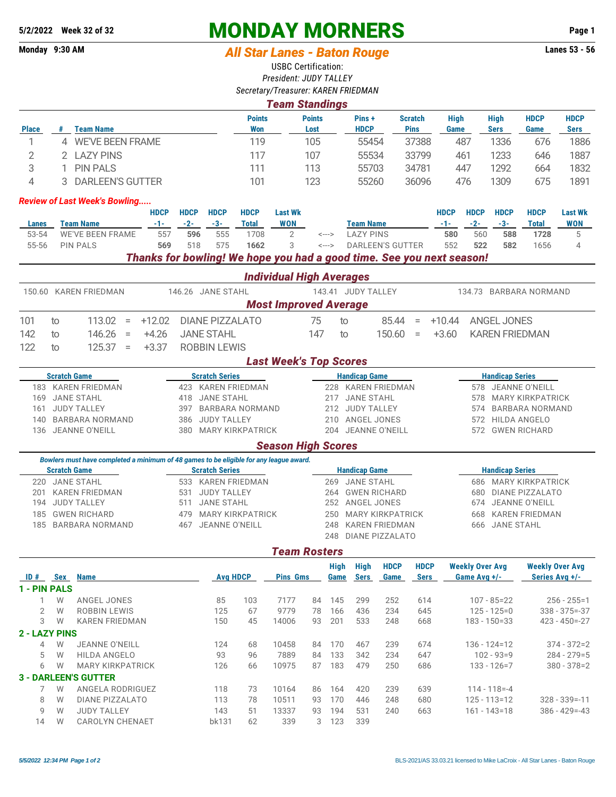## **5/2/2022 Week 32 of 32 MONDAY MORNERS Page 1**

## Monday 9:30 AM *All Star Lanes - Baton Rouge* **Lanes 53 - 56**

USBC Certification: *President: JUDY TALLEY*

| <b>Team Standings</b><br><b>Points</b><br><b>Points</b><br>Pins+<br><b>Scratch</b><br><b>High</b><br><b>Team Name</b><br><b>HDCP</b><br><b>Won</b><br><b>Pins</b><br><b>Place</b><br>#<br>Lost<br>Game<br><b>WE'VE BEEN FRAME</b><br>105<br>37388<br>1<br>119<br>55454<br>4<br>$\mathbf{2}$<br>2 LAZY PINS<br>107<br>117<br>55534<br>33799<br>3<br><b>PIN PALS</b><br>113<br>111<br>55703<br>34781<br>1<br><b>DARLEEN'S GUTTER</b><br>4<br>101<br>123<br>55260<br>36096<br>3<br><b>Review of Last Week's Bowling</b><br><b>HDCP</b><br><b>HDCP</b><br><b>HDCP</b><br><b>HDCP</b><br><b>Last Wk</b><br><b>HDCP</b><br><b>Team Name</b><br>$-2-$<br>$-1-$<br>$-3-$<br><b>WON</b><br><b>Team Name</b><br><b>Total</b><br>$-1-$<br><b>Lanes</b><br><b>WE'VE BEEN FRAME</b><br>555<br><b>LAZY PINS</b><br>557<br>596<br>1708<br>580<br>53-54<br>2<br>$\leftarrow$ $\rightarrow$<br>575<br>3<br>55-56<br><b>PIN PALS</b><br>569<br>518<br>1662<br><b>DARLEEN'S GUTTER</b><br>552<br>$\leftarrow$ $\rightarrow$<br>Thanks for bowling! We hope you had a good time. See you next season!<br><b>Individual High Averages</b><br>150.60 KAREN FRIEDMAN<br>146.26 JANE STAHL<br>143.41 JUDY TALLEY<br><b>Most Improved Average</b><br>113.02<br>75<br>85.44<br>101<br>$+12.02$<br><b>DIANE PIZZALATO</b><br>$+10.44$<br>$=$<br>to<br>to<br>$\equiv$<br>142<br>146.26<br>$+4.26$<br><b>JANE STAHL</b><br>147<br>150.60<br>$+3.60$<br>to<br>to<br>$\equiv$<br>$\equiv$<br>122<br>125.37<br>$+3.37$<br><b>ROBBIN LEWIS</b><br>$\overline{10}$<br>$=$<br><b>Last Week's Top Scores</b><br><b>Scratch Game</b><br><b>Scratch Series</b><br><b>Handicap Game</b><br>183 KAREN FRIEDMAN<br>423 KAREN FRIEDMAN<br><b>KAREN FRIEDMAN</b><br>228<br><b>JANE STAHL</b><br><b>JANE STAHL</b><br><b>JANE STAHL</b><br>169<br>418<br>217<br><b>JUDY TALLEY</b><br>397<br><b>BARBARA NORMAND</b><br>212<br><b>JUDY TALLEY</b><br>161 |             |                            |                         |                            |
|-------------------------------------------------------------------------------------------------------------------------------------------------------------------------------------------------------------------------------------------------------------------------------------------------------------------------------------------------------------------------------------------------------------------------------------------------------------------------------------------------------------------------------------------------------------------------------------------------------------------------------------------------------------------------------------------------------------------------------------------------------------------------------------------------------------------------------------------------------------------------------------------------------------------------------------------------------------------------------------------------------------------------------------------------------------------------------------------------------------------------------------------------------------------------------------------------------------------------------------------------------------------------------------------------------------------------------------------------------------------------------------------------------------------------------------------------------------------------------------------------------------------------------------------------------------------------------------------------------------------------------------------------------------------------------------------------------------------------------------------------------------------------------------------------------------------------------------------------------------------------------------------------------------|-------------|----------------------------|-------------------------|----------------------------|
|                                                                                                                                                                                                                                                                                                                                                                                                                                                                                                                                                                                                                                                                                                                                                                                                                                                                                                                                                                                                                                                                                                                                                                                                                                                                                                                                                                                                                                                                                                                                                                                                                                                                                                                                                                                                                                                                                                             |             |                            |                         |                            |
|                                                                                                                                                                                                                                                                                                                                                                                                                                                                                                                                                                                                                                                                                                                                                                                                                                                                                                                                                                                                                                                                                                                                                                                                                                                                                                                                                                                                                                                                                                                                                                                                                                                                                                                                                                                                                                                                                                             |             | <b>High</b><br><b>Sers</b> | <b>HDCP</b><br>Game     | <b>HDCP</b><br><b>Sers</b> |
|                                                                                                                                                                                                                                                                                                                                                                                                                                                                                                                                                                                                                                                                                                                                                                                                                                                                                                                                                                                                                                                                                                                                                                                                                                                                                                                                                                                                                                                                                                                                                                                                                                                                                                                                                                                                                                                                                                             | 487         | 1336                       | 676                     | 1886                       |
|                                                                                                                                                                                                                                                                                                                                                                                                                                                                                                                                                                                                                                                                                                                                                                                                                                                                                                                                                                                                                                                                                                                                                                                                                                                                                                                                                                                                                                                                                                                                                                                                                                                                                                                                                                                                                                                                                                             | 461         | 1233                       | 646                     | 1887                       |
|                                                                                                                                                                                                                                                                                                                                                                                                                                                                                                                                                                                                                                                                                                                                                                                                                                                                                                                                                                                                                                                                                                                                                                                                                                                                                                                                                                                                                                                                                                                                                                                                                                                                                                                                                                                                                                                                                                             | 447         | 1292                       | 664                     | 1832                       |
|                                                                                                                                                                                                                                                                                                                                                                                                                                                                                                                                                                                                                                                                                                                                                                                                                                                                                                                                                                                                                                                                                                                                                                                                                                                                                                                                                                                                                                                                                                                                                                                                                                                                                                                                                                                                                                                                                                             | 476         | 1309                       | 675                     | 1891                       |
|                                                                                                                                                                                                                                                                                                                                                                                                                                                                                                                                                                                                                                                                                                                                                                                                                                                                                                                                                                                                                                                                                                                                                                                                                                                                                                                                                                                                                                                                                                                                                                                                                                                                                                                                                                                                                                                                                                             |             |                            |                         |                            |
|                                                                                                                                                                                                                                                                                                                                                                                                                                                                                                                                                                                                                                                                                                                                                                                                                                                                                                                                                                                                                                                                                                                                                                                                                                                                                                                                                                                                                                                                                                                                                                                                                                                                                                                                                                                                                                                                                                             | <b>HDCP</b> | <b>HDCP</b>                | <b>HDCP</b>             | <b>Last Wk</b>             |
|                                                                                                                                                                                                                                                                                                                                                                                                                                                                                                                                                                                                                                                                                                                                                                                                                                                                                                                                                                                                                                                                                                                                                                                                                                                                                                                                                                                                                                                                                                                                                                                                                                                                                                                                                                                                                                                                                                             | $-2-$       | $-3-$                      | <b>Total</b>            | <b>WON</b>                 |
|                                                                                                                                                                                                                                                                                                                                                                                                                                                                                                                                                                                                                                                                                                                                                                                                                                                                                                                                                                                                                                                                                                                                                                                                                                                                                                                                                                                                                                                                                                                                                                                                                                                                                                                                                                                                                                                                                                             | 560         | 588                        | 1728                    | 5                          |
|                                                                                                                                                                                                                                                                                                                                                                                                                                                                                                                                                                                                                                                                                                                                                                                                                                                                                                                                                                                                                                                                                                                                                                                                                                                                                                                                                                                                                                                                                                                                                                                                                                                                                                                                                                                                                                                                                                             | 522         | 582                        | 1656                    | $\overline{4}$             |
|                                                                                                                                                                                                                                                                                                                                                                                                                                                                                                                                                                                                                                                                                                                                                                                                                                                                                                                                                                                                                                                                                                                                                                                                                                                                                                                                                                                                                                                                                                                                                                                                                                                                                                                                                                                                                                                                                                             |             |                            |                         |                            |
|                                                                                                                                                                                                                                                                                                                                                                                                                                                                                                                                                                                                                                                                                                                                                                                                                                                                                                                                                                                                                                                                                                                                                                                                                                                                                                                                                                                                                                                                                                                                                                                                                                                                                                                                                                                                                                                                                                             |             |                            |                         |                            |
|                                                                                                                                                                                                                                                                                                                                                                                                                                                                                                                                                                                                                                                                                                                                                                                                                                                                                                                                                                                                                                                                                                                                                                                                                                                                                                                                                                                                                                                                                                                                                                                                                                                                                                                                                                                                                                                                                                             |             | 134.73 BARBARA NORMAND     |                         |                            |
|                                                                                                                                                                                                                                                                                                                                                                                                                                                                                                                                                                                                                                                                                                                                                                                                                                                                                                                                                                                                                                                                                                                                                                                                                                                                                                                                                                                                                                                                                                                                                                                                                                                                                                                                                                                                                                                                                                             |             |                            |                         |                            |
|                                                                                                                                                                                                                                                                                                                                                                                                                                                                                                                                                                                                                                                                                                                                                                                                                                                                                                                                                                                                                                                                                                                                                                                                                                                                                                                                                                                                                                                                                                                                                                                                                                                                                                                                                                                                                                                                                                             |             | <b>ANGEL JONES</b>         |                         |                            |
|                                                                                                                                                                                                                                                                                                                                                                                                                                                                                                                                                                                                                                                                                                                                                                                                                                                                                                                                                                                                                                                                                                                                                                                                                                                                                                                                                                                                                                                                                                                                                                                                                                                                                                                                                                                                                                                                                                             |             | <b>KAREN FRIEDMAN</b>      |                         |                            |
|                                                                                                                                                                                                                                                                                                                                                                                                                                                                                                                                                                                                                                                                                                                                                                                                                                                                                                                                                                                                                                                                                                                                                                                                                                                                                                                                                                                                                                                                                                                                                                                                                                                                                                                                                                                                                                                                                                             |             |                            |                         |                            |
|                                                                                                                                                                                                                                                                                                                                                                                                                                                                                                                                                                                                                                                                                                                                                                                                                                                                                                                                                                                                                                                                                                                                                                                                                                                                                                                                                                                                                                                                                                                                                                                                                                                                                                                                                                                                                                                                                                             |             |                            |                         |                            |
|                                                                                                                                                                                                                                                                                                                                                                                                                                                                                                                                                                                                                                                                                                                                                                                                                                                                                                                                                                                                                                                                                                                                                                                                                                                                                                                                                                                                                                                                                                                                                                                                                                                                                                                                                                                                                                                                                                             |             | <b>Handicap Series</b>     |                         |                            |
|                                                                                                                                                                                                                                                                                                                                                                                                                                                                                                                                                                                                                                                                                                                                                                                                                                                                                                                                                                                                                                                                                                                                                                                                                                                                                                                                                                                                                                                                                                                                                                                                                                                                                                                                                                                                                                                                                                             |             | 578 JEANNE O'NEILL         |                         |                            |
|                                                                                                                                                                                                                                                                                                                                                                                                                                                                                                                                                                                                                                                                                                                                                                                                                                                                                                                                                                                                                                                                                                                                                                                                                                                                                                                                                                                                                                                                                                                                                                                                                                                                                                                                                                                                                                                                                                             | 578         |                            | <b>MARY KIRKPATRICK</b> |                            |
|                                                                                                                                                                                                                                                                                                                                                                                                                                                                                                                                                                                                                                                                                                                                                                                                                                                                                                                                                                                                                                                                                                                                                                                                                                                                                                                                                                                                                                                                                                                                                                                                                                                                                                                                                                                                                                                                                                             | 574         |                            | <b>BARBARA NORMAND</b>  |                            |
| <b>JUDY TALLEY</b><br>ANGEL JONES<br><b>BARBARA NORMAND</b><br>386<br>210<br>140                                                                                                                                                                                                                                                                                                                                                                                                                                                                                                                                                                                                                                                                                                                                                                                                                                                                                                                                                                                                                                                                                                                                                                                                                                                                                                                                                                                                                                                                                                                                                                                                                                                                                                                                                                                                                            | 572         |                            | <b>HILDA ANGELO</b>     |                            |
| 136 JEANNE O'NEILL<br><b>MARY KIRKPATRICK</b><br>204 JEANNE O'NEILL<br>380                                                                                                                                                                                                                                                                                                                                                                                                                                                                                                                                                                                                                                                                                                                                                                                                                                                                                                                                                                                                                                                                                                                                                                                                                                                                                                                                                                                                                                                                                                                                                                                                                                                                                                                                                                                                                                  |             | 572 GWEN RICHARD           |                         |                            |
| <b>Season High Scores</b>                                                                                                                                                                                                                                                                                                                                                                                                                                                                                                                                                                                                                                                                                                                                                                                                                                                                                                                                                                                                                                                                                                                                                                                                                                                                                                                                                                                                                                                                                                                                                                                                                                                                                                                                                                                                                                                                                   |             |                            |                         |                            |
| Bowlers must have completed a minimum of 48 games to be eligible for any league award.                                                                                                                                                                                                                                                                                                                                                                                                                                                                                                                                                                                                                                                                                                                                                                                                                                                                                                                                                                                                                                                                                                                                                                                                                                                                                                                                                                                                                                                                                                                                                                                                                                                                                                                                                                                                                      |             |                            |                         |                            |

|                     | Bowlers must have completed a minimum of 48 games to be eligible for any league award. |  |                       |  |                      |  |                        |  |  |  |  |  |
|---------------------|----------------------------------------------------------------------------------------|--|-----------------------|--|----------------------|--|------------------------|--|--|--|--|--|
| <b>Scratch Game</b> |                                                                                        |  | <b>Scratch Series</b> |  | <b>Handicap Game</b> |  | <b>Handicap Series</b> |  |  |  |  |  |
|                     | 220 JANE STAHL                                                                         |  | 533 KAREN FRIEDMAN    |  | 269 JANE STAHL       |  | 686 MARY KIRKPATRICK   |  |  |  |  |  |
|                     | 201 KAREN FRIEDMAN                                                                     |  | 531 JUDY TALLEY       |  | 264 GWEN RICHARD     |  | 680 DIANE PIZZALATO    |  |  |  |  |  |
|                     | 194 JUDY TALLEY                                                                        |  | 511 JANE STAHL        |  | 252 ANGEL JONES      |  | 674 JEANNE O'NEILL     |  |  |  |  |  |
|                     | 185 GWEN RICHARD                                                                       |  | 479 MARY KIRKPATRICK  |  | 250 MARY KIRKPATRICK |  | 668 KAREN FRIEDMAN     |  |  |  |  |  |
|                     | 185 BARBARA NORMAND                                                                    |  | 467 JEANNE O'NEILL    |  | 248 KAREN FRIEDMAN   |  | 666 JANE STAHL         |  |  |  |  |  |
|                     |                                                                                        |  |                       |  | 248 DIANE PIZZALATO  |  |                        |  |  |  |  |  |

## *Team Rosters*

| ID#                  | <b>Sex</b> | <b>Name</b>                 | <b>Avg HDCP</b> |     | <b>Pins Gms</b> |    | High<br>Game | <b>High</b><br>Sers | <b>HDCP</b><br>Game | <b>HDCP</b><br><b>Sers</b> | <b>Weekly Over Avg</b><br>Game Avg +/- | <b>Weekly Over Avg</b><br>Series Avg +/- |
|----------------------|------------|-----------------------------|-----------------|-----|-----------------|----|--------------|---------------------|---------------------|----------------------------|----------------------------------------|------------------------------------------|
| 1 - PIN PALS         |            |                             |                 |     |                 |    |              |                     |                     |                            |                                        |                                          |
|                      | W          | ANGEL JONES                 | 85              | 103 | 7177            | 84 | 145          | 299                 | 252                 | 614                        | $107 - 85 = 22$                        | $256 - 255 = 1$                          |
| 2                    | W          | <b>ROBBIN LEWIS</b>         | 125             | 67  | 9779            | 78 | 166          | 436                 | 234                 | 645                        | $125 - 125 = 0$                        | $338 - 375 = -37$                        |
| 3                    | W          | <b>KAREN FRIEDMAN</b>       | 150             | 45  | 14006           | 93 | 201          | 533                 | 248                 | 668                        | $183 - 150 = 33$                       | $423 - 450 = -27$                        |
| <b>2 - LAZY PINS</b> |            |                             |                 |     |                 |    |              |                     |                     |                            |                                        |                                          |
| 4                    | W          | <b>JEANNE O'NEILL</b>       | 124             | 68  | 10458           | 84 | 170          | 467                 | 239                 | 674                        | $136 - 124 = 12$                       | $374 - 372 = 2$                          |
| 5.                   | W          | <b>HILDA ANGELO</b>         | 93              | 96  | 7889            | 84 | 133          | 342                 | 234                 | 647                        | $102 - 93 = 9$                         | $284 - 279 = 5$                          |
| 6                    | W          | <b>MARY KIRKPATRICK</b>     | 126             | 66  | 10975           | 87 | 183          | 479                 | 250                 | 686                        | $133 - 126 = 7$                        | $380 - 378 = 2$                          |
|                      |            | <b>3 - DARLEEN'S GUTTER</b> |                 |     |                 |    |              |                     |                     |                            |                                        |                                          |
|                      | W          | ANGELA RODRIGUEZ            | 118             | 73  | 10164           | 86 | 164          | 420                 | 239                 | 639                        | $114 - 118 = -4$                       |                                          |
| 8                    | W          | <b>DIANE PIZZALATO</b>      | 113             | 78  | 10511           | 93 | 170          | 446                 | 248                 | 680                        | $125 - 113 = 12$                       | $328 - 339 = -11$                        |
| 9                    | W          | <b>JUDY TALLEY</b>          | 143             | 51  | 13337           | 93 | 194          | 531                 | 240                 | 663                        | $161 - 143 = 18$                       | $386 - 429 = -43$                        |
| 14                   | W          | <b>CAROLYN CHENAET</b>      | bk131           | 62  | 339             | 3  | 123          | 339                 |                     |                            |                                        |                                          |